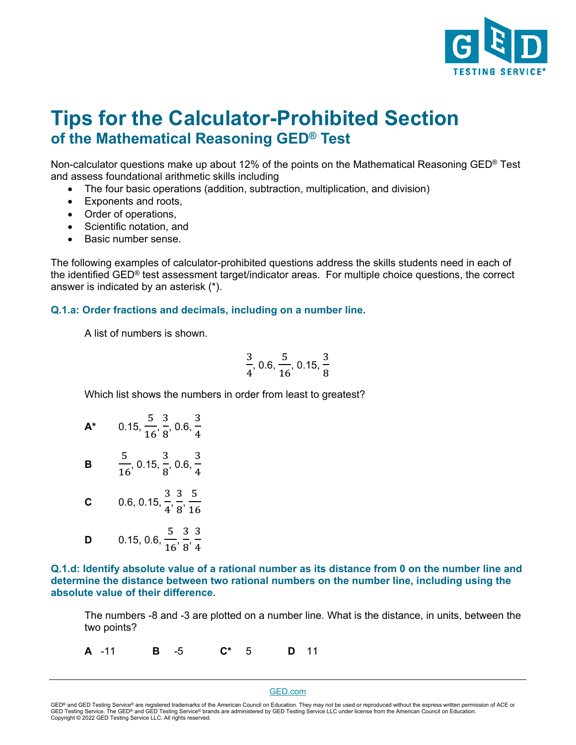

## **Tips for the Calculator-Prohibited Section of the Mathematical Reasoning GED® Test**

Non-calculator questions make up about 12% of the points on the Mathematical Reasoning GED® Test and assess foundational arithmetic skills including

- The four basic operations (addition, subtraction, multiplication, and division)
- Exponents and roots,
- Order of operations,
- Scientific notation, and
- Basic number sense.

The following examples of calculator-prohibited questions address the skills students need in each of the identified GED® test assessment target/indicator areas. For multiple choice questions, the correct answer is indicated by an asterisk (\*).

## **Q.1.a: Order fractions and decimals, including on a number line.**

A list of numbers is shown.

$$
\frac{3}{4},\,0.6,\frac{5}{16},\,0.15,\frac{3}{8}
$$

Which list shows the numbers in order from least to greatest?

| Δ* | 0.15, $\frac{5}{16}$ , $\frac{3}{8}$ , 0.6, $\frac{3}{4}$ |
|----|-----------------------------------------------------------|
| в  | $\frac{5}{16}$ , 0.15, $\frac{3}{8}$ , 0.6, $\frac{3}{4}$ |
| C  | 0.6, 0.15, $\frac{3}{4}$ , $\frac{3}{8}$ , $\frac{5}{16}$ |
| D  | 0.15, 0.6, $\frac{5}{16}$ , $\frac{3}{8}$ , $\frac{3}{4}$ |

**Q.1.d: Identify absolute value of a rational number as its distance from 0 on the number line and determine the distance between two rational numbers on the number line, including using the absolute value of their difference.**

The numbers -8 and -3 are plotted on a number line. What is the distance, in units, between the two points?

**A** -11 **B** -5 **C\*** 5 **D** 11

## [GED.com](http://ged.com/)

GED® and GED Testing Service® are registered trademarks of the American Council on Education. They may not be used or reproduced without the express written permission of ACE or GED Testing Service. The GED® and GED Testing Service® brands are administered by GED Testing Service LLC under license from the American Council on Education.<br>Copyright © 2022 GED Testing Service LLC. All rights reserved